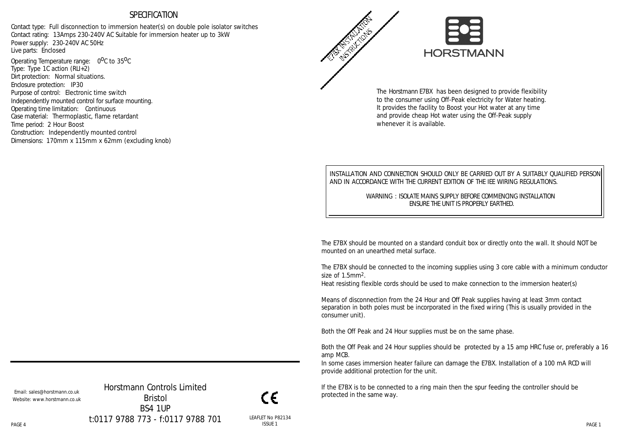#### SPECIFICATION

Contact type: Full disconnection to immersion heater(s) on double pole isolator switches Contact rating: 13Amps 230-240V AC Suitable for immersion heater up to 3kW Power supply: 230-240V AC 50Hz Live parts: Enclosed

Operating Temperature range: 0<sup>0</sup>C to 35<sup>0</sup>C Type: Type 1C action (RLI+2) Dirt protection: Normal situations. Enclosure protection: IP30 Purpose of control: Electronic time switch Independently mounted control for surface mounting. Operating time limitation: Continuous Case material: Thermoplastic, flame retardant Time period: 2 Hour Boost Construction: Independently mounted control Dimensions: 170mm x 115mm x 62mm (excluding knob)



The Horstmann E7BX has been designed to provide flexibility to the consumer using Off-Peak electricity for Water heating. It provides the facility to Boost your Hot water at any time and provide cheap Hot water using the Off-Peak supply whenever it is available.

INSTALLATION AND CONNECTION SHOULD ONLY BE CARRIED OUT BY A SUITABLY QUALIFIED PERSON AND IN ACCORDANCE WITH THE CURRENT EDITION OF THE IEE WIRING REGULATIONS.

> WARNING : ISOLATE MAINS SUPPLY BEFORE COMMENCING INSTALLATION ENSURE THE UNIT IS PROPERLY EARTHED.

The E7BX should be mounted on a standard conduit box or directly onto the wall. It should NOT be mounted on an unearthed metal surface.

The E7BX should be connected to the incoming supplies using 3 core cable with a minimum conductor size of 1.5mm2.

Heat resisting flexible cords should be used to make connection to the immersion heater(s)

Means of disconnection from the 24 Hour and Off Peak supplies having at least 3mm contact separation in both poles must be incorporated in the fixed wiring (This is usually provided in the consumer unit).

Both the Off Peak and 24 Hour supplies must be on the same phase.

Both the Off Peak and 24 Hour supplies should be protected by a 15 amp HRC fuse or, preferably a 16 amp MCB.

In some cases immersion heater failure can damage the E7BX. Installation of a 100 mA RCD will provide additional protection for the unit.

If the E7BX is to be connected to a ring main then the spur feeding the controller should be protected in the same way.

Email: sales@horstmann.co.uk Website: www.horstmann.co.uk

PAGE 4 PAGE 1 Horstmann Controls Limited Bristol BS4 1UP t:0117 9788 773 - f:0117 9788 701

ĆΕ LEAFLET No P82134 ISSUE 1